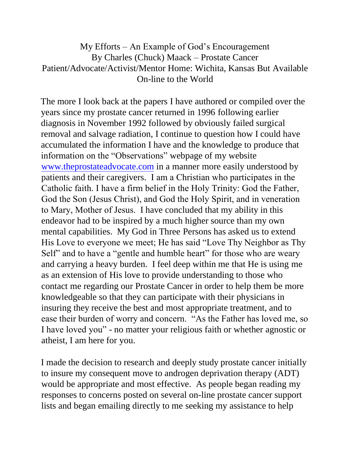My Efforts – An Example of God's Encouragement By Charles (Chuck) Maack – Prostate Cancer Patient/Advocate/Activist/Mentor Home: Wichita, Kansas But Available On-line to the World

The more I look back at the papers I have authored or compiled over the years since my prostate cancer returned in 1996 following earlier diagnosis in November 1992 followed by obviously failed surgical removal and salvage radiation, I continue to question how I could have accumulated the information I have and the knowledge to produce that information on the "Observations" webpage of my website [www.theprostateadvocate.com](http://www.theprostateadvocate.com/) in a manner more easily understood by patients and their caregivers. I am a Christian who participates in the Catholic faith. I have a firm belief in the Holy Trinity: God the Father, God the Son (Jesus Christ), and God the Holy Spirit, and in veneration to Mary, Mother of Jesus. I have concluded that my ability in this endeavor had to be inspired by a much higher source than my own mental capabilities. My God in Three Persons has asked us to extend His Love to everyone we meet; He has said "Love Thy Neighbor as Thy Self" and to have a "gentle and humble heart" for those who are weary and carrying a heavy burden. I feel deep within me that He is using me as an extension of His love to provide understanding to those who contact me regarding our Prostate Cancer in order to help them be more knowledgeable so that they can participate with their physicians in insuring they receive the best and most appropriate treatment, and to ease their burden of worry and concern. "As the Father has loved me, so I have loved you" - no matter your religious faith or whether agnostic or atheist, I am here for you.

I made the decision to research and deeply study prostate cancer initially to insure my consequent move to androgen deprivation therapy (ADT) would be appropriate and most effective. As people began reading my responses to concerns posted on several on-line prostate cancer support lists and began emailing directly to me seeking my assistance to help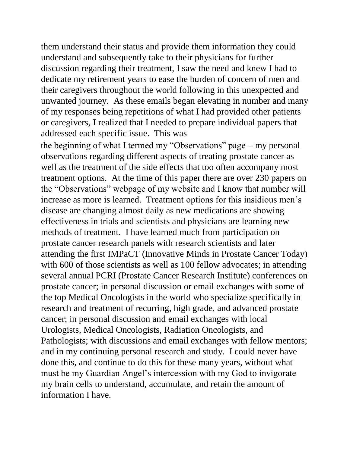them understand their status and provide them information they could understand and subsequently take to their physicians for further discussion regarding their treatment, I saw the need and knew I had to dedicate my retirement years to ease the burden of concern of men and their caregivers throughout the world following in this unexpected and unwanted journey. As these emails began elevating in number and many of my responses being repetitions of what I had provided other patients or caregivers, I realized that I needed to prepare individual papers that addressed each specific issue. This was

the beginning of what I termed my "Observations" page – my personal observations regarding different aspects of treating prostate cancer as well as the treatment of the side effects that too often accompany most treatment options. At the time of this paper there are over 230 papers on the "Observations" webpage of my website and I know that number will increase as more is learned. Treatment options for this insidious men's disease are changing almost daily as new medications are showing effectiveness in trials and scientists and physicians are learning new methods of treatment. I have learned much from participation on prostate cancer research panels with research scientists and later attending the first IMPaCT (Innovative Minds in Prostate Cancer Today) with 600 of those scientists as well as 100 fellow advocates; in attending several annual PCRI (Prostate Cancer Research Institute) conferences on prostate cancer; in personal discussion or email exchanges with some of the top Medical Oncologists in the world who specialize specifically in research and treatment of recurring, high grade, and advanced prostate cancer; in personal discussion and email exchanges with local Urologists, Medical Oncologists, Radiation Oncologists, and Pathologists; with discussions and email exchanges with fellow mentors; and in my continuing personal research and study. I could never have done this, and continue to do this for these many years, without what must be my Guardian Angel's intercession with my God to invigorate my brain cells to understand, accumulate, and retain the amount of information I have.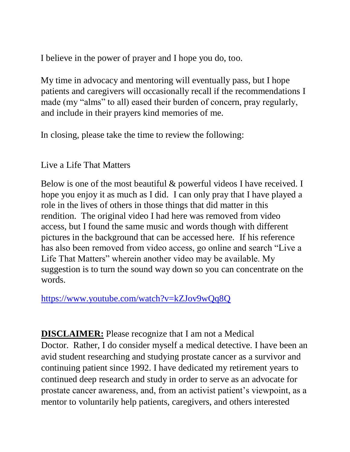I believe in the power of prayer and I hope you do, too.

My time in advocacy and mentoring will eventually pass, but I hope patients and caregivers will occasionally recall if the recommendations I made (my "alms" to all) eased their burden of concern, pray regularly, and include in their prayers kind memories of me.

In closing, please take the time to review the following:

## Live a Life That Matters

Below is one of the most beautiful & powerful videos I have received. I hope you enjoy it as much as I did. I can only pray that I have played a role in the lives of others in those things that did matter in this rendition. The original video I had here was removed from video access, but I found the same music and words though with different pictures in the background that can be accessed here. If his reference has also been removed from video access, go online and search "Live a Life That Matters" wherein another video may be available. My suggestion is to turn the sound way down so you can concentrate on the words.

<https://www.youtube.com/watch?v=kZJov9wQq8Q>

**DISCLAIMER:** Please recognize that I am not a Medical Doctor. Rather, I do consider myself a medical detective. I have been an avid student researching and studying prostate cancer as a survivor and continuing patient since 1992. I have dedicated my retirement years to continued deep research and study in order to serve as an advocate for prostate cancer awareness, and, from an activist patient's viewpoint, as a mentor to voluntarily help patients, caregivers, and others interested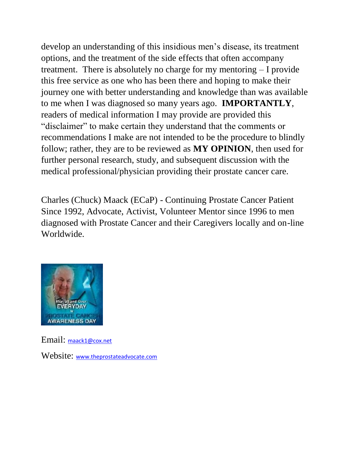develop an understanding of this insidious men's disease, its treatment options, and the treatment of the side effects that often accompany treatment. There is absolutely no charge for my mentoring – I provide this free service as one who has been there and hoping to make their journey one with better understanding and knowledge than was available to me when I was diagnosed so many years ago. **IMPORTANTLY**, readers of medical information I may provide are provided this "disclaimer" to make certain they understand that the comments or recommendations I make are not intended to be the procedure to blindly follow; rather, they are to be reviewed as **MY OPINION**, then used for further personal research, study, and subsequent discussion with the medical professional/physician providing their prostate cancer care.

Charles (Chuck) Maack (ECaP) - Continuing Prostate Cancer Patient Since 1992, Advocate, Activist, Volunteer Mentor since 1996 to men diagnosed with Prostate Cancer and their Caregivers locally and on-line Worldwide.



Email: [maack1@cox.net](mailto:maack1@cox.net) Website: [www.theprostateadvocate.com](http://www.theprostateadvocate.com/)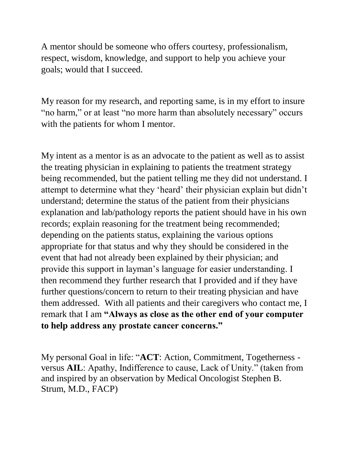A mentor should be someone who offers courtesy, professionalism, respect, wisdom, knowledge, and support to help you achieve your goals; would that I succeed.

My reason for my research, and reporting same, is in my effort to insure "no harm," or at least "no more harm than absolutely necessary" occurs with the patients for whom I mentor.

My intent as a mentor is as an advocate to the patient as well as to assist the treating physician in explaining to patients the treatment strategy being recommended, but the patient telling me they did not understand. I attempt to determine what they 'heard' their physician explain but didn't understand; determine the status of the patient from their physicians explanation and lab/pathology reports the patient should have in his own records; explain reasoning for the treatment being recommended; depending on the patients status, explaining the various options appropriate for that status and why they should be considered in the event that had not already been explained by their physician; and provide this support in layman's language for easier understanding. I then recommend they further research that I provided and if they have further questions/concern to return to their treating physician and have them addressed. With all patients and their caregivers who contact me, I remark that I am **"Always as close as the other end of your computer to help address any prostate cancer concerns."**

My personal Goal in life: "**ACT**: Action, Commitment, Togetherness versus **AIL**: Apathy, Indifference to cause, Lack of Unity." (taken from and inspired by an observation by Medical Oncologist Stephen B. Strum, M.D., FACP)